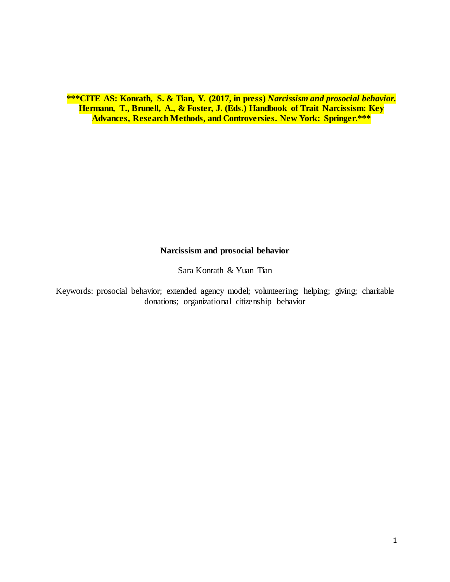**\*\*\*CITE AS: Konrath, S. & Tian, Y. (2017, in press)** *Narcissism and prosocial behavior.* **Hermann, T., Brunell, A., & Foster, J. (Eds.) Handbook of Trait Narcissism: Key Advances, Research Methods, and Controversies. New York: Springer.\*\*\***

# **Narcissism and prosocial behavior**

Sara Konrath & Yuan Tian

Keywords: prosocial behavior; extended agency model; volunteering; helping; giving; charitable donations; organizational citizenship behavior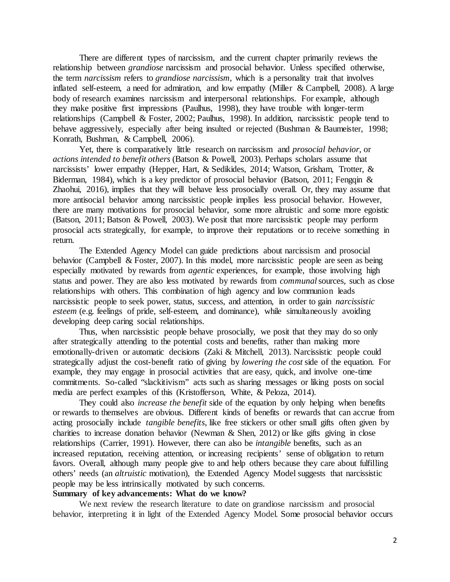There are different types of narcissism, and the current chapter primarily reviews the relationship between *grandiose* narcissism and prosocial behavior. Unless specified otherwise, the term *narcissism* refers to *grandiose narcissism*, which is a personality trait that involves inflated self-esteem, a need for admiration, and low empathy (Miller & Campbell, 2008). A large body of research examines narcissism and interpersonal relationships. For example, although they make positive first impressions (Paulhus, 1998), they have trouble with longer-term relationships (Campbell & Foster, 2002; Paulhus, 1998). In addition, narcissistic people tend to behave aggressively, especially after being insulted or rejected (Bushman & Baumeister, 1998; Konrath, Bushman, & Campbell, 2006).

Yet, there is comparatively little research on narcissism and *prosocial behavior*, or *actions intended to benefit others* (Batson & Powell, 2003). Perhaps scholars assume that narcissists' lower empathy (Hepper, Hart, & Sedikides, 2014; Watson, Grisham, Trotter, & Biderman, 1984), which is a key predictor of prosocial behavior (Batson, 2011; Fengqin & Zhaohui, 2016), implies that they will behave less prosocially overall. Or, they may assume that more antisocial behavior among narcissistic people implies less prosocial behavior. However, there are many motivations for prosocial behavior, some more altruistic and some more egoistic (Batson, 2011; Batson & Powell, 2003). We posit that more narcissistic people may perform prosocial acts strategically, for example, to improve their reputations or to receive something in return.

The Extended Agency Model can guide predictions about narcissism and prosocial behavior (Campbell & Foster, 2007). In this model, more narcissistic people are seen as being especially motivated by rewards from *agentic* experiences, for example, those involving high status and power. They are also less motivated by rewards from *communal* sources, such as close relationships with others. This combination of high agency and low communion leads narcissistic people to seek power, status, success, and attention, in order to gain *narcissistic esteem* (e.g. feelings of pride, self-esteem, and dominance), while simultaneously avoiding developing deep caring social relationships.

Thus, when narcissistic people behave prosocially, we posit that they may do so only after strategically attending to the potential costs and benefits, rather than making more emotionally-driven or automatic decisions (Zaki & Mitchell, 2013). Narcissistic people could strategically adjust the cost-benefit ratio of giving by *lowering the cost* side of the equation. For example, they may engage in prosocial activities that are easy, quick, and involve one-time commitments. So-called "slackitivism" acts such as sharing messages or liking posts on social media are perfect examples of this (Kristofferson, White, & Peloza, 2014).

They could also *increase the benefit* side of the equation by only helping when benefits or rewards to themselves are obvious. Different kinds of benefits or rewards that can accrue from acting prosocially include *tangible benefits*, like free stickers or other small gifts often given by charities to increase donation behavior (Newman & Shen, 2012) or like gifts giving in close relationships (Carrier, 1991). However, there can also be *intangible* benefits, such as an increased reputation, receiving attention, or increasing recipients' sense of obligation to return favors. Overall, although many people give to and help others because they care about fulfilling others' needs (an *altruistic* motivation), the Extended Agency Model suggests that narcissistic people may be less intrinsically motivated by such concerns.

# **Summary of key advancements: What do we know?**

We next review the research literature to date on grandiose narcissism and prosocial behavior, interpreting it in light of the Extended Agency Model. Some prosocial behavior occurs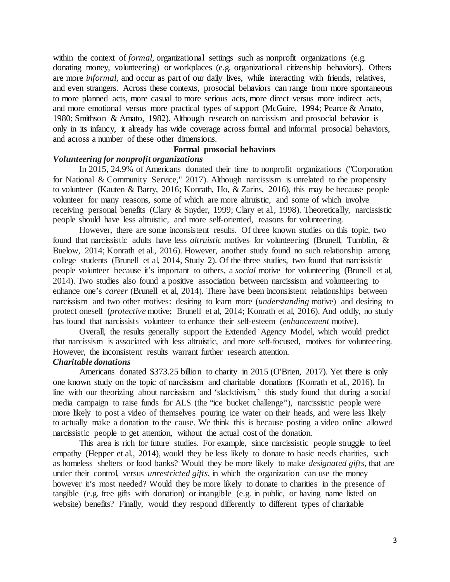within the context of *formal*, organizational settings such as nonprofit organizations (e.g. donating money, volunteering) or workplaces (e.g. organizational citizenship behaviors). Others are more *informal,* and occur as part of our daily lives, while interacting with friends, relatives, and even strangers. Across these contexts, prosocial behaviors can range from more spontaneous to more planned acts, more casual to more serious acts, more direct versus more indirect acts, and more emotional versus more practical types of support (McGuire, 1994; Pearce & Amato, 1980; Smithson & Amato, 1982). Although research on narcissism and prosocial behavior is only in its infancy, it already has wide coverage across formal and informal prosocial behaviors, and across a number of these other dimensions.

# **Formal prosocial behaviors**

#### *Volunteering for nonprofit organizations*

In 2015, 24.9% of Americans donated their time to nonprofit organizations ("Corporation for National & Community Service," 2017). Although narcissism is unrelated to the propensity to volunteer (Kauten & Barry, 2016; Konrath, Ho, & Zarins, 2016), this may be because people volunteer for many reasons, some of which are more altruistic, and some of which involve receiving personal benefits (Clary & Snyder, 1999; Clary et al., 1998). Theoretically, narcissistic people should have less altruistic, and more self-oriented, reasons for volunteering.

However, there are some inconsistent results. Of three known studies on this topic, two found that narcissistic adults have less *altruistic* motives for volunteering (Brunell, Tumblin, & Buelow, 2014; Konrath et al., 2016). However, another study found no such relationship among college students (Brunell et al, 2014, Study 2). Of the three studies, two found that narcissistic people volunteer because it's important to others, a *social* motive for volunteering (Brunell et al, 2014). Two studies also found a positive association between narcissism and volunteering to enhance one's *career* (Brunell et al, 2014). There have been inconsistent relationships between narcissism and two other motives: desiring to learn more (*understanding* motive) and desiring to protect oneself (*protective* motive; Brunell et al, 2014; Konrath et al, 2016). And oddly, no study has found that narcissists volunteer to enhance their self-esteem (*enhancement* motive).

Overall, the results generally support the Extended Agency Model, which would predict that narcissism is associated with less altruistic, and more self-focused, motives for volunteering. However, the inconsistent results warrant further research attention.

#### *Charitable donations*

Americans donated \$373.25 billion to charity in 2015 (O'Brien, 2017). Yet **t**here is only one known study on the topic of narcissism and charitable donations (Konrath et al., 2016). In line with our theorizing about narcissism and 'slacktivism,' this study found that during a social media campaign to raise funds for ALS (the "ice bucket challenge"), narcissistic people were more likely to post a video of themselves pouring ice water on their heads, and were less likely to actually make a donation to the cause. We think this is because posting a video online allowed narcissistic people to get attention, without the actual cost of the donation.

This area is rich for future studies. For example, since narcissistic people struggle to feel empathy (Hepper et al., 2014), would they be less likely to donate to basic needs charities, such as homeless shelters or food banks? Would they be more likely to make *designated gifts*, that are under their control, versus *unrestricted gifts*, in which the organization can use the money however it's most needed? Would they be more likely to donate to charities in the presence of tangible (e.g. free gifts with donation) or intangible (e.g. in public, or having name listed on website) benefits? Finally, would they respond differently to different types of charitable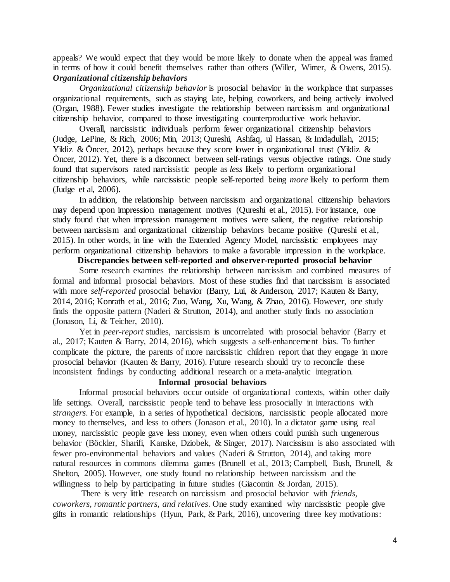appeals? We would expect that they would be more likely to donate when the appeal was framed in terms of how it could benefit themselves rather than others (Willer, Wimer, & Owens, 2015). *Organizational citizenship behaviors*

*Organizational citizenship behavior* is prosocial behavior in the workplace that surpasses organizational requirements, such as staying late, helping coworkers, and being actively involved (Organ, 1988). Fewer studies investigate the relationship between narcissism and organizational citizenship behavior, compared to those investigating counterproductive work behavior.

Overall, narcissistic individuals perform fewer organizational citizenship behaviors (Judge, LePine, & Rich, 2006; Min, 2013; Qureshi, Ashfaq, ul Hassan, & Imdadullah, 2015; Yildiz & Öncer, 2012), perhaps because they score lower in organizational trust (Yildiz & Öncer, 2012). Yet, there is a disconnect between self-ratings versus objective ratings. One study found that supervisors rated narcissistic people as *less* likely to perform organizational citizenship behaviors, while narcissistic people self-reported being *more* likely to perform them (Judge et al, 2006).

In addition, the relationship between narcissism and organizational citizenship behaviors may depend upon impression management motives (Qureshi et al., 2015). For instance, one study found that when impression management motives were salient, the negative relationship between narcissism and organizational citizenship behaviors became positive (Qureshi et al., 2015). In other words, in line with the Extended Agency Model, narcissistic employees may perform organizational citizenship behaviors to make a favorable impression in the workplace.

## **Discrepancies between self-reported and observer-reported prosocial behavior**

Some research examines the relationship between narcissism and combined measures of formal and informal prosocial behaviors. Most of these studies find that narcissism is associated with more *self-reported* prosocial behavior (Barry, Lui, & Anderson, 2017; Kauten & Barry, 2014, 2016; Konrath et al., 2016; Zuo, Wang, Xu, Wang, & Zhao, 2016). However, one study finds the opposite pattern (Naderi & Strutton, 2014), and another study finds no association (Jonason, Li, & Teicher, 2010).

Yet in *peer-report* studies, narcissism is uncorrelated with prosocial behavior (Barry et al., 2017; Kauten & Barry, 2014, 2016), which suggests a self-enhancement bias. To further complicate the picture, the parents of more narcissistic children report that they engage in more prosocial behavior (Kauten & Barry, 2016). Future research should try to reconcile these inconsistent findings by conducting additional research or a meta-analytic integration.

## **Informal prosocial behaviors**

Informal prosocial behaviors occur outside of organizational contexts, within other daily life settings. Overall, narcissistic people tend to behave less prosocially in interactions with *strangers*. For example, in a series of hypothetical decisions, narcissistic people allocated more money to themselves, and less to others (Jonason et al., 2010). In a dictator game using real money, narcissistic people gave less money, even when others could punish such ungenerous behavior (Böckler, Sharifi, Kanske, Dziobek, & Singer, 2017). Narcissism is also associated with fewer pro-environmental behaviors and values (Naderi & Strutton, 2014), and taking more natural resources in commons dilemma games (Brunell et al., 2013; Campbell, Bush, Brunell, & Shelton, 2005). However, one study found no relationship between narcissism and the willingness to help by participating in future studies (Giacomin & Jordan, 2015).

There is very little research on narcissism and prosocial behavior with *friends, coworkers, romantic partners, and relatives*. One study examined why narcissistic people give gifts in romantic relationships (Hyun, Park, & Park, 2016), uncovering three key motivations: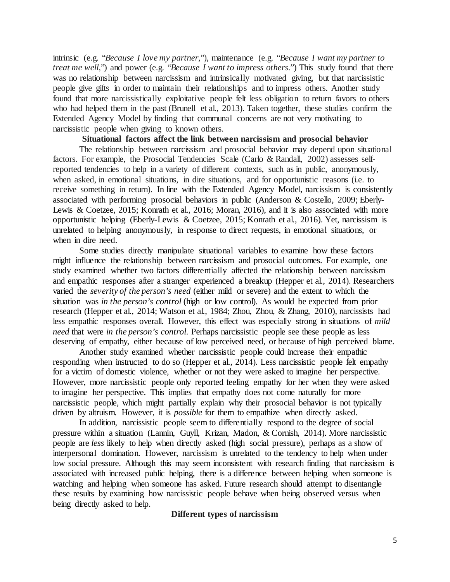intrinsic (e.g. "*Because I love my partner*,"), maintenance (e.g. "*Because I want my partner to treat me well*,") and power (e.g. "*Because I want to impress others*.") This study found that there was no relationship between narcissism and intrinsically motivated giving, but that narcissistic people give gifts in order to maintain their relationships and to impress others. Another study found that more narcissistically exploitative people felt less obligation to return favors to others who had helped them in the past (Brunell et al., 2013). Taken together, these studies confirm the Extended Agency Model by finding that communal concerns are not very motivating to narcissistic people when giving to known others.

## **Situational factors affect the link between narcissism and prosocial behavior**

The relationship between narcissism and prosocial behavior may depend upon situational factors. For example, the Prosocial Tendencies Scale (Carlo & Randall, 2002) assesses selfreported tendencies to help in a variety of different contexts, such as in public, anonymously, when asked, in emotional situations, in dire situations, and for opportunistic reasons (i.e. to receive something in return). In line with the Extended Agency Model, narcissism is consistently associated with performing prosocial behaviors in public (Anderson & Costello, 2009; Eberly-Lewis & Coetzee, 2015; Konrath et al., 2016; Moran, 2016), and it is also associated with more opportunistic helping (Eberly-Lewis & Coetzee, 2015; Konrath et al., 2016). Yet, narcissism is unrelated to helping anonymously, in response to direct requests, in emotional situations, or when in dire need.

Some studies directly manipulate situational variables to examine how these factors might influence the relationship between narcissism and prosocial outcomes. For example, one study examined whether two factors differentially affected the relationship between narcissism and empathic responses after a stranger experienced a breakup (Hepper et al., 2014). Researchers varied the *severity of the person's need* (either mild or severe) and the extent to which the situation was *in the person's control* (high or low control). As would be expected from prior research (Hepper et al., 2014; Watson et al., 1984; Zhou, Zhou, & Zhang, 2010), narcissists had less empathic responses overall. However, this effect was especially strong in situations of *mild need* that were *in the person's control*. Perhaps narcissistic people see these people as less deserving of empathy, either because of low perceived need, or because of high perceived blame.

Another study examined whether narcissistic people could increase their empathic responding when instructed to do so (Hepper et al., 2014). Less narcissistic people felt empathy for a victim of domestic violence, whether or not they were asked to imagine her perspective. However, more narcissistic people only reported feeling empathy for her when they were asked to imagine her perspective. This implies that empathy does not come naturally for more narcissistic people, which might partially explain why their prosocial behavior is not typically driven by altruism. However, it is *possible* for them to empathize when directly asked.

In addition, narcissistic people seem to differentially respond to the degree of social pressure within a situation (Lannin, Guyll, Krizan, Madon, & Cornish, 2014). More narcissistic people are *less* likely to help when directly asked (high social pressure), perhaps as a show of interpersonal domination. However, narcissism is unrelated to the tendency to help when under low social pressure. Although this may seem inconsistent with research finding that narcissism is associated with increased public helping, there is a difference between helping when someone is watching and helping when someone has asked. Future research should attempt to disentangle these results by examining how narcissistic people behave when being observed versus when being directly asked to help.

### **Different types of narcissism**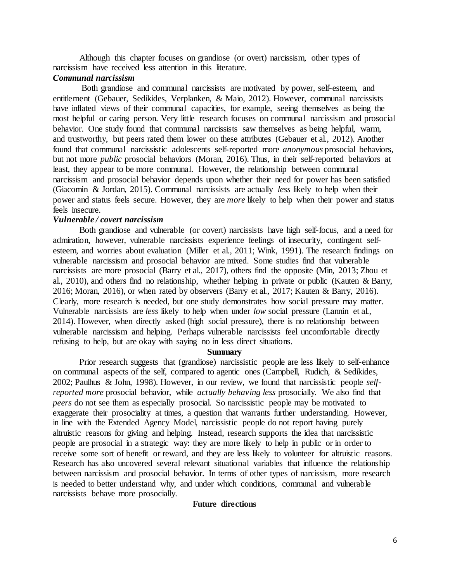Although this chapter focuses on grandiose (or overt) narcissism, other types of narcissism have received less attention in this literature.

#### *Communal narcissism*

Both grandiose and communal narcissists are motivated by power, self-esteem, and entitlement (Gebauer, Sedikides, Verplanken, & Maio, 2012). However, communal narcissists have inflated views of their communal capacities, for example, seeing themselves as being the most helpful or caring person. Very little research focuses on communal narcissism and prosocial behavior. One study found that communal narcissists saw themselves as being helpful, warm, and trustworthy, but peers rated them lower on these attributes (Gebauer et al., 2012). Another found that communal narcissistic adolescents self-reported more *anonymous* prosocial behaviors, but not more *public* prosocial behaviors (Moran, 2016). Thus, in their self-reported behaviors at least, they appear to be more communal. However, the relationship between communal narcissism and prosocial behavior depends upon whether their need for power has been satisfied (Giacomin & Jordan, 2015). Communal narcissists are actually *less* likely to help when their power and status feels secure. However, they are *more* likely to help when their power and status feels insecure.

#### *Vulnerable / covert narcissism*

Both grandiose and vulnerable (or covert) narcissists have high self-focus, and a need for admiration, however, vulnerable narcissists experience feelings of insecurity, contingent selfesteem, and worries about evaluation (Miller et al., 2011; Wink, 1991). The research findings on vulnerable narcissism and prosocial behavior are mixed. Some studies find that vulnerable narcissists are more prosocial (Barry et al., 2017), others find the opposite (Min, 2013; Zhou et al., 2010), and others find no relationship, whether helping in private or public (Kauten & Barry, 2016; Moran, 2016), or when rated by observers (Barry et al., 2017; Kauten & Barry, 2016). Clearly, more research is needed, but one study demonstrates how social pressure may matter. Vulnerable narcissists are *less* likely to help when under *low* social pressure (Lannin et al., 2014). However, when directly asked (high social pressure), there is no relationship between vulnerable narcissism and helping. Perhaps vulnerable narcissists feel uncomfortable directly refusing to help, but are okay with saying no in less direct situations.

#### **Summary**

Prior research suggests that (grandiose) narcissistic people are less likely to self-enhance on communal aspects of the self, compared to agentic ones (Campbell, Rudich, & Sedikides, 2002; Paulhus & John, 1998). However, in our review, we found that narcissistic people *selfreported more* prosocial behavior, while *actually behaving less* prosocially. We also find that *peers* do not see them as especially prosocial. So narcissistic people may be motivated to exaggerate their prosociality at times, a question that warrants further understanding. However, in line with the Extended Agency Model, narcissistic people do not report having purely altruistic reasons for giving and helping. Instead, research supports the idea that narcissistic people are prosocial in a strategic way: they are more likely to help in public or in order to receive some sort of benefit or reward, and they are less likely to volunteer for altruistic reasons. Research has also uncovered several relevant situational variables that influence the relationship between narcissism and prosocial behavior. In terms of other types of narcissism, more research is needed to better understand why, and under which conditions, communal and vulnerable narcissists behave more prosocially.

### **Future directions**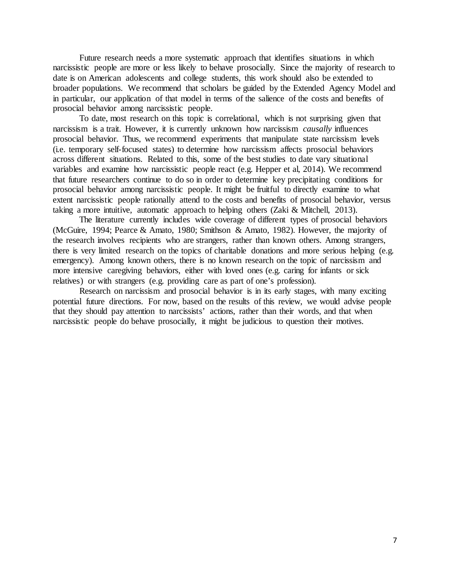Future research needs a more systematic approach that identifies situations in which narcissistic people are more or less likely to behave prosocially. Since the majority of research to date is on American adolescents and college students, this work should also be extended to broader populations. We recommend that scholars be guided by the Extended Agency Model and in particular, our application of that model in terms of the salience of the costs and benefits of prosocial behavior among narcissistic people.

To date, most research on this topic is correlational, which is not surprising given that narcissism is a trait. However, it is currently unknown how narcissism *causally* influences prosocial behavior. Thus, we recommend experiments that manipulate state narcissism levels (i.e. temporary self-focused states) to determine how narcissism affects prosocial behaviors across different situations. Related to this, some of the best studies to date vary situational variables and examine how narcissistic people react (e.g. Hepper et al, 2014). We recommend that future researchers continue to do so in order to determine key precipitating conditions for prosocial behavior among narcissistic people. It might be fruitful to directly examine to what extent narcissistic people rationally attend to the costs and benefits of prosocial behavior, versus taking a more intuitive, automatic approach to helping others (Zaki & Mitchell, 2013).

The literature currently includes wide coverage of different types of prosocial behaviors (McGuire, 1994; Pearce & Amato, 1980; Smithson & Amato, 1982). However, the majority of the research involves recipients who are strangers, rather than known others. Among strangers, there is very limited research on the topics of charitable donations and more serious helping (e.g. emergency). Among known others, there is no known research on the topic of narcissism and more intensive caregiving behaviors, either with loved ones (e.g. caring for infants or sick relatives) or with strangers (e.g. providing care as part of one's profession).

Research on narcissism and prosocial behavior is in its early stages, with many exciting potential future directions. For now, based on the results of this review, we would advise people that they should pay attention to narcissists' actions, rather than their words, and that when narcissistic people do behave prosocially, it might be judicious to question their motives.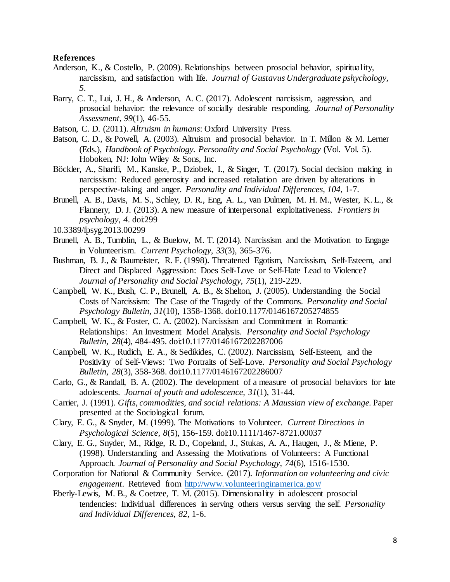## **References**

- Anderson, K., & Costello, P. (2009). Relationships between prosocial behavior, spirituality, narcissism, and satisfaction with life. *Journal of Gustavus Undergraduate pshychology, 5*.
- Barry, C. T., Lui, J. H., & Anderson, A. C. (2017). Adolescent narcissism, aggression, and prosocial behavior: the relevance of socially desirable responding. *Journal of Personality Assessment, 99*(1), 46-55.
- Batson, C. D. (2011). *Altruism in humans*: Oxford University Press.
- Batson, C. D., & Powell, A. (2003). Altruism and prosocial behavior. In T. Millon & M. Lerner (Eds.), *Handbook of Psychology. Personality and Social Psychology* (Vol. Vol. 5). Hoboken, NJ: John Wiley & Sons, Inc.
- Böckler, A., Sharifi, M., Kanske, P., Dziobek, I., & Singer, T. (2017). Social decision making in narcissism: Reduced generosity and increased retaliation are driven by alterations in perspective-taking and anger. *Personality and Individual Differences, 104*, 1-7.
- Brunell, A. B., Davis, M. S., Schley, D. R., Eng, A. L., van Dulmen, M. H. M., Wester, K. L., & Flannery, D. J. (2013). A new measure of interpersonal exploitativeness. *Frontiers in psychology, 4*. doi:299
- 10.3389/fpsyg.2013.00299
- Brunell, A. B., Tumblin, L., & Buelow, M. T. (2014). Narcissism and the Motivation to Engage in Volunteerism. *Current Psychology, 33*(3), 365-376.
- Bushman, B. J., & Baumeister, R. F. (1998). Threatened Egotism, Narcissism, Self-Esteem, and Direct and Displaced Aggression: Does Self-Love or Self-Hate Lead to Violence? *Journal of Personality and Social Psychology, 75*(1), 219-229.
- Campbell, W. K., Bush, C. P., Brunell, A. B., & Shelton, J. (2005). Understanding the Social Costs of Narcissism: The Case of the Tragedy of the Commons. *Personality and Social Psychology Bulletin, 31*(10), 1358-1368. doi:10.1177/0146167205274855
- Campbell, W. K., & Foster, C. A. (2002). Narcissism and Commitment in Romantic Relationships: An Investment Model Analysis. *Personality and Social Psychology Bulletin, 28*(4), 484-495. doi:10.1177/0146167202287006
- Campbell, W. K., Rudich, E. A., & Sedikides, C. (2002). Narcissism, Self-Esteem, and the Positivity of Self-Views: Two Portraits of Self-Love. *Personality and Social Psychology Bulletin, 28*(3), 358-368. doi:10.1177/0146167202286007
- Carlo, G., & Randall, B. A. (2002). The development of a measure of prosocial behaviors for late adolescents. *Journal of youth and adolescence, 31*(1), 31-44.
- Carrier, J. (1991). *Gifts, commodities, and social relations: A Maussian view of exchange.* Paper presented at the Sociological forum.
- Clary, E. G., & Snyder, M. (1999). The Motivations to Volunteer. *Current Directions in Psychological Science, 8*(5), 156-159. doi:10.1111/1467-8721.00037
- Clary, E. G., Snyder, M., Ridge, R. D., Copeland, J., Stukas, A. A., Haugen, J., & Miene, P. (1998). Understanding and Assessing the Motivations of Volunteers: A Functional Approach. *Journal of Personality and Social Psychology, 74*(6), 1516-1530.
- Corporation for National & Community Service. (2017). *Information on volunteering and civic engagement.* Retrieved from <http://www.volunteeringinamerica.gov/>
- Eberly-Lewis, M. B., & Coetzee, T. M. (2015). Dimensionality in adolescent prosocial tendencies: Individual differences in serving others versus serving the self. *Personality and Individual Differences, 82*, 1-6.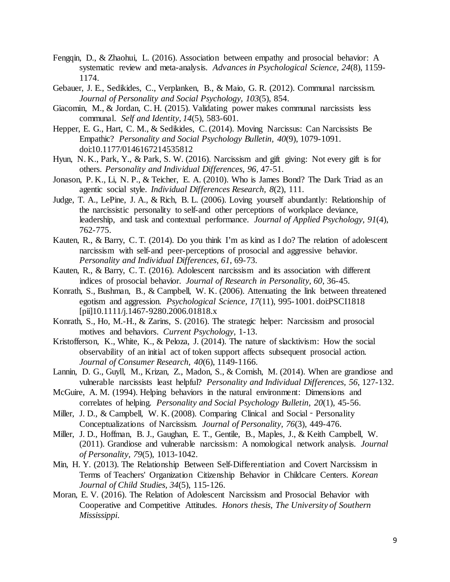- Fengqin, D., & Zhaohui, L. (2016). Association between empathy and prosocial behavior: A systematic review and meta-analysis. *Advances in Psychological Science, 24*(8), 1159- 1174.
- Gebauer, J. E., Sedikides, C., Verplanken, B., & Maio, G. R. (2012). Communal narcissism. *Journal of Personality and Social Psychology, 103*(5), 854.
- Giacomin, M., & Jordan, C. H. (2015). Validating power makes communal narcissists less communal. *Self and Identity, 14*(5), 583-601.
- Hepper, E. G., Hart, C. M., & Sedikides, C. (2014). Moving Narcissus: Can Narcissists Be Empathic? *Personality and Social Psychology Bulletin, 40*(9), 1079-1091. doi:10.1177/0146167214535812
- Hyun, N. K., Park, Y., & Park, S. W. (2016). Narcissism and gift giving: Not every gift is for others. *Personality and Individual Differences, 96*, 47-51.
- Jonason, P. K., Li, N. P., & Teicher, E. A. (2010). Who is James Bond? The Dark Triad as an agentic social style. *Individual Differences Research, 8*(2), 111.
- Judge, T. A., LePine, J. A., & Rich, B. L. (2006). Loving yourself abundantly: Relationship of the narcissistic personality to self-and other perceptions of workplace deviance, leadership, and task and contextual performance. *Journal of Applied Psychology, 91*(4), 762-775.
- Kauten, R., & Barry, C. T. (2014). Do you think I'm as kind as I do? The relation of adolescent narcissism with self-and peer-perceptions of prosocial and aggressive behavior. *Personality and Individual Differences, 61*, 69-73.
- Kauten, R., & Barry, C. T. (2016). Adolescent narcissism and its association with different indices of prosocial behavior. *Journal of Research in Personality, 60*, 36-45.
- Konrath, S., Bushman, B., & Campbell, W. K. (2006). Attenuating the link between threatened egotism and aggression. *Psychological Science, 17*(11), 995-1001. doi:PSCI1818 [pii]10.1111/j.1467-9280.2006.01818.x
- Konrath, S., Ho, M.-H., & Zarins, S. (2016). The strategic helper: Narcissism and prosocial motives and behaviors. *Current Psychology*, 1-13.
- Kristofferson, K., White, K., & Peloza, J. (2014). The nature of slacktivism: How the social observability of an initial act of token support affects subsequent prosocial action. *Journal of Consumer Research, 40*(6), 1149-1166.
- Lannin, D. G., Guyll, M., Krizan, Z., Madon, S., & Cornish, M. (2014). When are grandiose and vulnerable narcissists least helpful? *Personality and Individual Differences, 56*, 127-132.
- McGuire, A. M. (1994). Helping behaviors in the natural environment: Dimensions and correlates of helping. *Personality and Social Psychology Bulletin, 20*(1), 45-56.
- Miller, J. D., & Campbell, W. K. (2008). Comparing Clinical and Social Personality Conceptualizations of Narcissism. *Journal of Personality, 76*(3), 449-476.
- Miller, J. D., Hoffman, B. J., Gaughan, E. T., Gentile, B., Maples, J., & Keith Campbell, W. (2011). Grandiose and vulnerable narcissism: A nomological network analysis. *Journal of Personality, 79*(5), 1013-1042.
- Min, H. Y. (2013). The Relationship Between Self-Differentiation and Covert Narcissism in Terms of Teachers' Organization Citizenship Behavior in Childcare Centers. *Korean Journal of Child Studies, 34*(5), 115-126.
- Moran, E. V. (2016). The Relation of Adolescent Narcissism and Prosocial Behavior with Cooperative and Competitive Attitudes. *Honors thesis, The University of Southern Mississippi*.